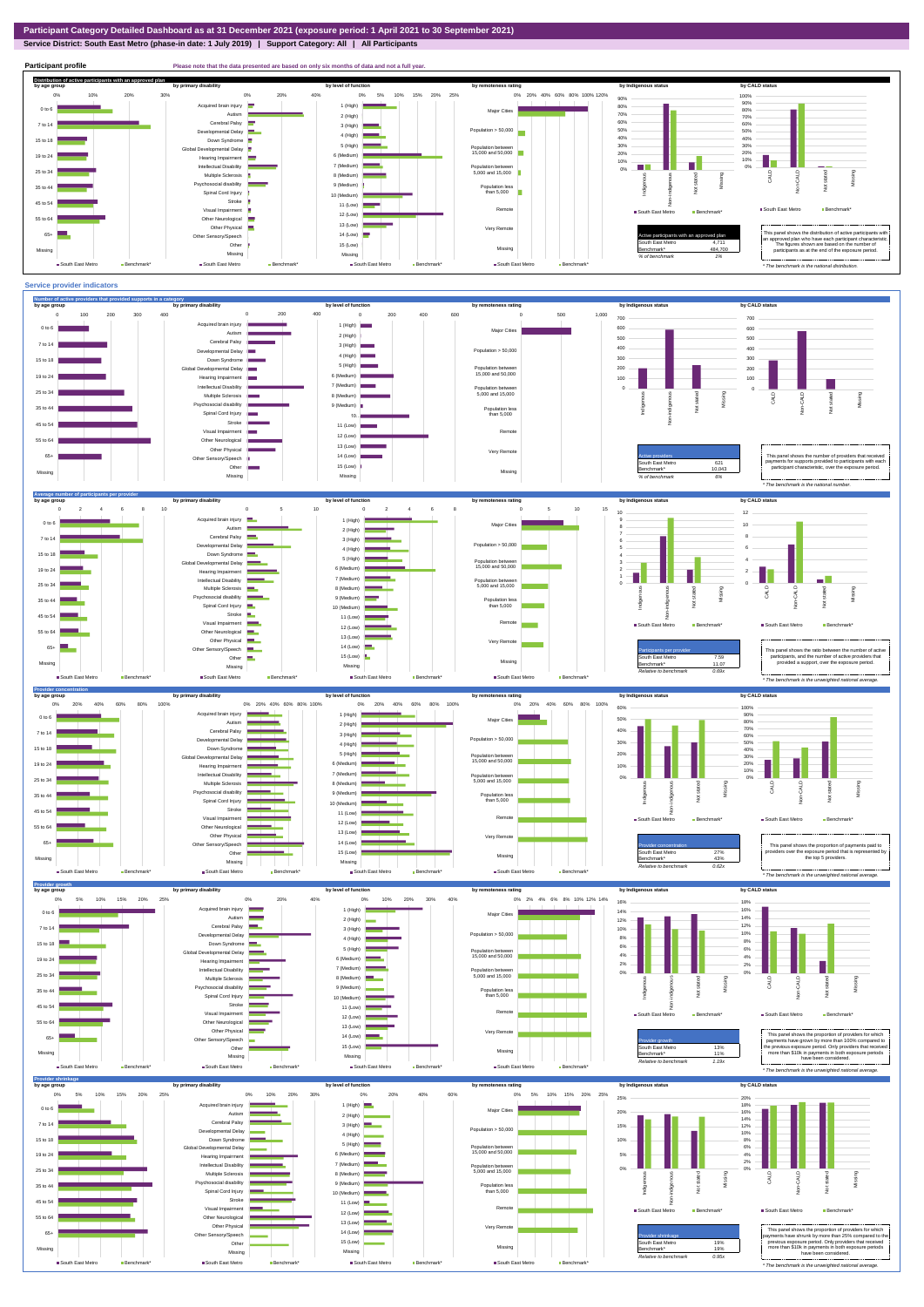## **Service District: South East Metro (phase-in date: 1 July 2019) | Support Category: All | All Participants**



![](_page_0_Figure_3.jpeg)

![](_page_0_Figure_4.jpeg)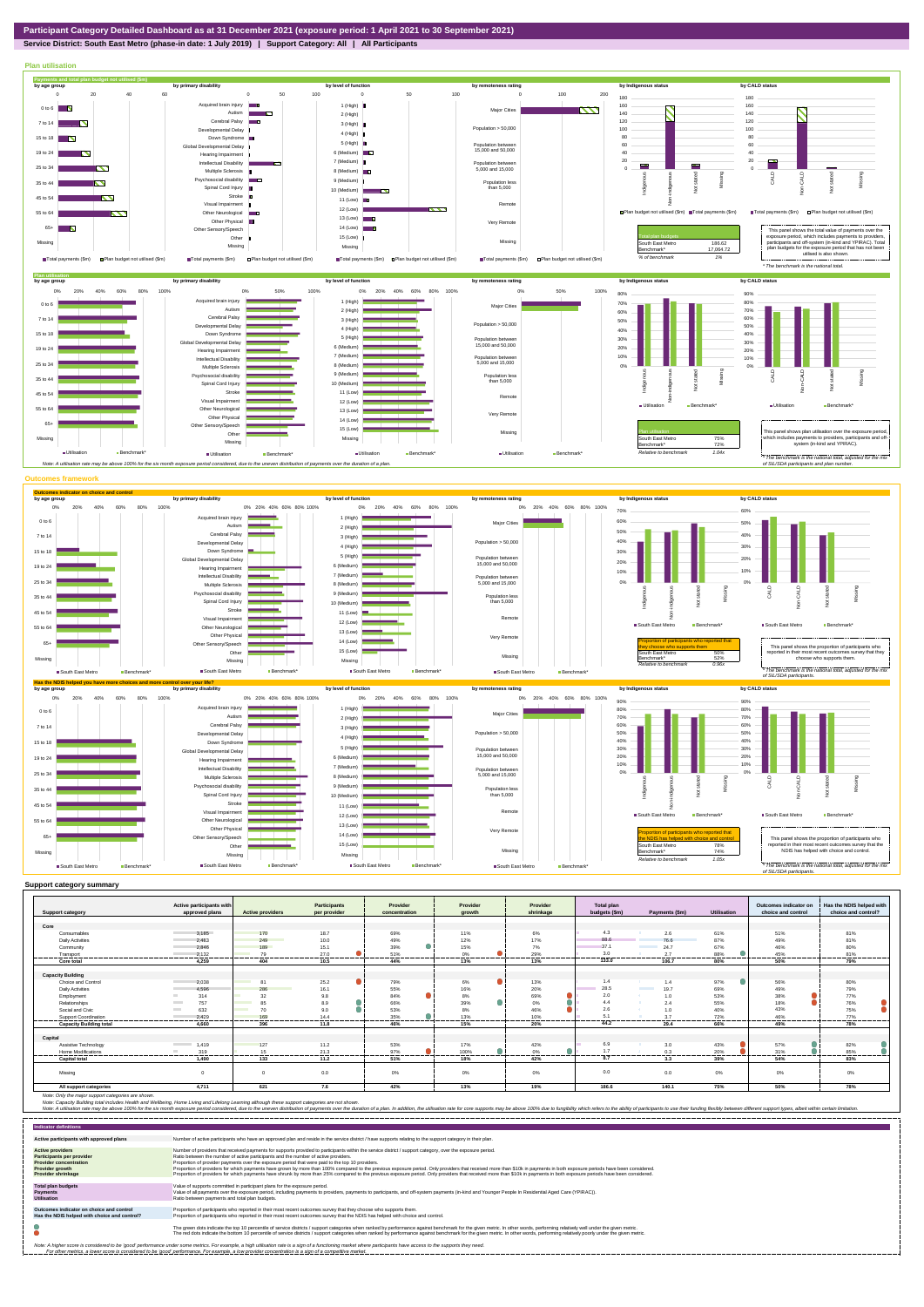## **Service District: South East Metro (phase-in date: 1 July 2019) | Support Category: All | All Participants**

![](_page_1_Figure_2.jpeg)

|                                | Active participants with |                                                                                                                       | Participants          | Provider      | Provider         | Provider   | Total plan     |                                  |                    | Outcomes indicator on | Has the NDIS helped with |
|--------------------------------|--------------------------|-----------------------------------------------------------------------------------------------------------------------|-----------------------|---------------|------------------|------------|----------------|----------------------------------|--------------------|-----------------------|--------------------------|
| <b>Support category</b>        | approved plans           | <b>Active providers</b>                                                                                               | per provider          | concentration | growth           | shrinkage  | budgets (\$m)  | Payments (\$m)                   | <b>Utilisation</b> | choice and control    | choice and control?      |
| Core                           |                          |                                                                                                                       |                       |               |                  |            |                |                                  |                    |                       |                          |
|                                | 3.185                    |                                                                                                                       | 18.7                  |               | 11%              |            | 4.3            |                                  | 61%                |                       |                          |
| Consumables                    |                          | 170                                                                                                                   |                       | 69%           |                  | 6%         | 88.6           | 2.6                              |                    | 51%                   | 81%                      |
| <b>Daily Activities</b>        | 2.483                    | 249                                                                                                                   | 10.0                  | 49%           | 12%              | 17%        |                | 76.6                             | 87%                | 49%                   | 81%                      |
| Community                      | 2.846                    | 189                                                                                                                   | 15.1                  | 39%           | 15%              | 7%         | 37.1           | 24.7                             | 67%                | 46%                   | 80%                      |
| Transport<br>------------      | 2.132<br>. <del>.</del>  | 79<br>.                                                                                                               | 27.0<br>--------<br>. | 51%<br>.      | 0%<br><br>.      | 29%<br>    | 3.0<br>.       | 2.7                              | 88%<br>            | 45%<br>               | 81%<br>.                 |
| Core total                     | 4.259                    | 404                                                                                                                   | 10.5                  | 44%           | 13%              | 13%        | 133.0          | 106.7                            | 80%                | 50%                   | 79%                      |
|                                |                          |                                                                                                                       |                       |               |                  |            |                |                                  |                    |                       |                          |
| <b>Capacity Building</b>       |                          |                                                                                                                       |                       |               |                  |            |                |                                  |                    |                       |                          |
| Choice and Control             | 2.038                    | R <sub>1</sub>                                                                                                        | 25.2                  | 79%           | 6%               | 13%        | 1.4            | 1.4                              | 97%                | 56%                   | 80%                      |
| <b>Daily Activities</b>        | 4.596                    | 286<br>and the state of the state of the state of the state of the state of the state of the state of the state of th | 16.1                  | 55%           | 16%              | 20%        | 28.5           | <b>Contract Contract</b><br>19.7 | 69%                | 49%                   | 79%                      |
| Employment                     | 314                      | 32<br>a an                                                                                                            | 9.8                   | 84%           | 8%               | 69%<br>Ñ.  | 2.0            | - 15 -<br>1.0                    | 53%                | 38%                   | 77%                      |
| Relationships                  | 757<br><b>Contract</b>   | 85                                                                                                                    | 8.9                   | 66%           | $\bullet$<br>39% | ۸<br>$0\%$ | 4.4            | 2.4                              | 55%                | 18%                   | 76%                      |
| Social and Civic               | 632<br><b>Contract</b>   | 70<br><b>Contract</b>                                                                                                 | 9.0                   | 53%           | 8%               | 46%        | 2.6            | 1.0                              | 40%                | 43%                   | 75%                      |
| Support Coordination           | 2.429                    | 169                                                                                                                   | 14.4                  | 35%           | 13%              | 10%        | 5 <sup>o</sup> | 3.7                              | 72%                | 46%                   | 77%                      |
| <b>Capacity Building total</b> | 4.660                    | 396                                                                                                                   | 11.8                  | 46%           | 15%              | 20%        | 44.2           | 29.4                             | 66%                | 49%                   | 78%                      |
|                                |                          |                                                                                                                       |                       |               |                  |            |                |                                  |                    |                       |                          |
| Capital                        |                          |                                                                                                                       |                       |               |                  |            |                |                                  |                    |                       |                          |
| Assistive Technology           | 1.419                    | 127                                                                                                                   | 11.2                  | 53%           | 17%              | 42%        | 6.9            | 3.0                              | 43%                | 57%                   | 82%                      |
| <b>Home Modifications</b>      | 319<br><b>COLL</b>       | 15                                                                                                                    | 21.3                  | 97%           | 100%             | 0%         | 17             | 0.3                              | 20%                | 31%                   | 85%                      |
| <b>Capital total</b>           | 1.490                    | 133                                                                                                                   | 11.2                  | 51%           | 18%              | 42%        | 8.7            | 3.3                              | 39%                | 54%                   | 83%                      |
|                                |                          |                                                                                                                       |                       |               |                  |            |                |                                  |                    |                       |                          |
| Missina                        |                          |                                                                                                                       | 0.0                   | 0%            | 0%               | 0%         | 0.0            | 0.0                              | $0\%$              | 0%                    | 0%                       |
| All support categories         | 4.711                    | 621                                                                                                                   | 7.6                   | 42%           | 13%              | 19%        | 186.6          | 140.1                            | 75%                | 50%                   | 78%                      |

Note: Only the major support categories are shown.<br>Note: Capacity Building total individual Wellbeing, Home Living and Lifelong Learning although these support categories are not shown.<br>Note: A utilisation rate may be abov

| <b>Indicator definitions</b>                                                                                                                        |                                                                                                                                                                                                                                                                                                                                                                                                                                                                                                                                                                                                                                                                                                                                                                                                                 |
|-----------------------------------------------------------------------------------------------------------------------------------------------------|-----------------------------------------------------------------------------------------------------------------------------------------------------------------------------------------------------------------------------------------------------------------------------------------------------------------------------------------------------------------------------------------------------------------------------------------------------------------------------------------------------------------------------------------------------------------------------------------------------------------------------------------------------------------------------------------------------------------------------------------------------------------------------------------------------------------|
| Active participants with approved plans                                                                                                             | Number of active participants who have an approved plan and reside in the service district / have supports relating to the support category in their plan.                                                                                                                                                                                                                                                                                                                                                                                                                                                                                                                                                                                                                                                      |
| <b>Active providers</b><br><b>Participants per provider</b><br><b>Provider concentration</b><br><b>Provider growth</b><br><b>Provider shrinkage</b> | Number of providers that received payments for supports provided to participants within the service district / support category, over the exposure period,<br>Ratio between the number of active participants and the number of active providers.<br>Proportion of provider payments over the exposure period that were paid to the top 10 providers.<br>Proportion of providers for which payments have grown by more than 100% compared to the previous exposure period. Only providers that received more than \$10k in payments in both exposure periods have been considered.<br>Proportion of providers for which payments have shrunk by more than 25% compared to the previous exposure period. Only providers that received more than \$10k in payments in both exposure periods have been considered. |
| <b>Total plan budgets</b><br><b>Payments</b><br><b>Utilisation</b>                                                                                  | Value of supports committed in participant plans for the exposure period.<br>Value of all payments over the exposure period, including payments to providers, payments to participants, and off-system payments (in-kind and Younger People In Residential Aged Care (YPIRAC)).<br>Ratio between payments and total plan budgets.                                                                                                                                                                                                                                                                                                                                                                                                                                                                               |
| Outcomes indicator on choice and control<br>Has the NDIS helped with choice and control?                                                            | Proportion of participants who reported in their most recent outcomes survey that they choose who supports them.<br>Proportion of participants who reported in their most recent outcomes survey that the NDIS has helped with choice and control.                                                                                                                                                                                                                                                                                                                                                                                                                                                                                                                                                              |
|                                                                                                                                                     | The green dots indicate the top 10 percentile of service districts / support categories when ranked by performance against benchmark for the given metric. In other words, performing relatively well under the given metric.<br>The red dots indicate the bottom 10 percentile of service districts / support categories when ranked by performance against benchmark for the given metric. In other words, performing relatively poorly under the given metri                                                                                                                                                                                                                                                                                                                                                 |
|                                                                                                                                                     | Note: A higher score is considered to be 'good' performance under some metrics. For example, a high utilisation rate is a sign of a functioning market where participants have access to the supports they need.<br>For other metrics, a lower score is considered to be 'good' performance. For example, a low provider concentration is a sign of a competitive market.                                                                                                                                                                                                                                                                                                                                                                                                                                       |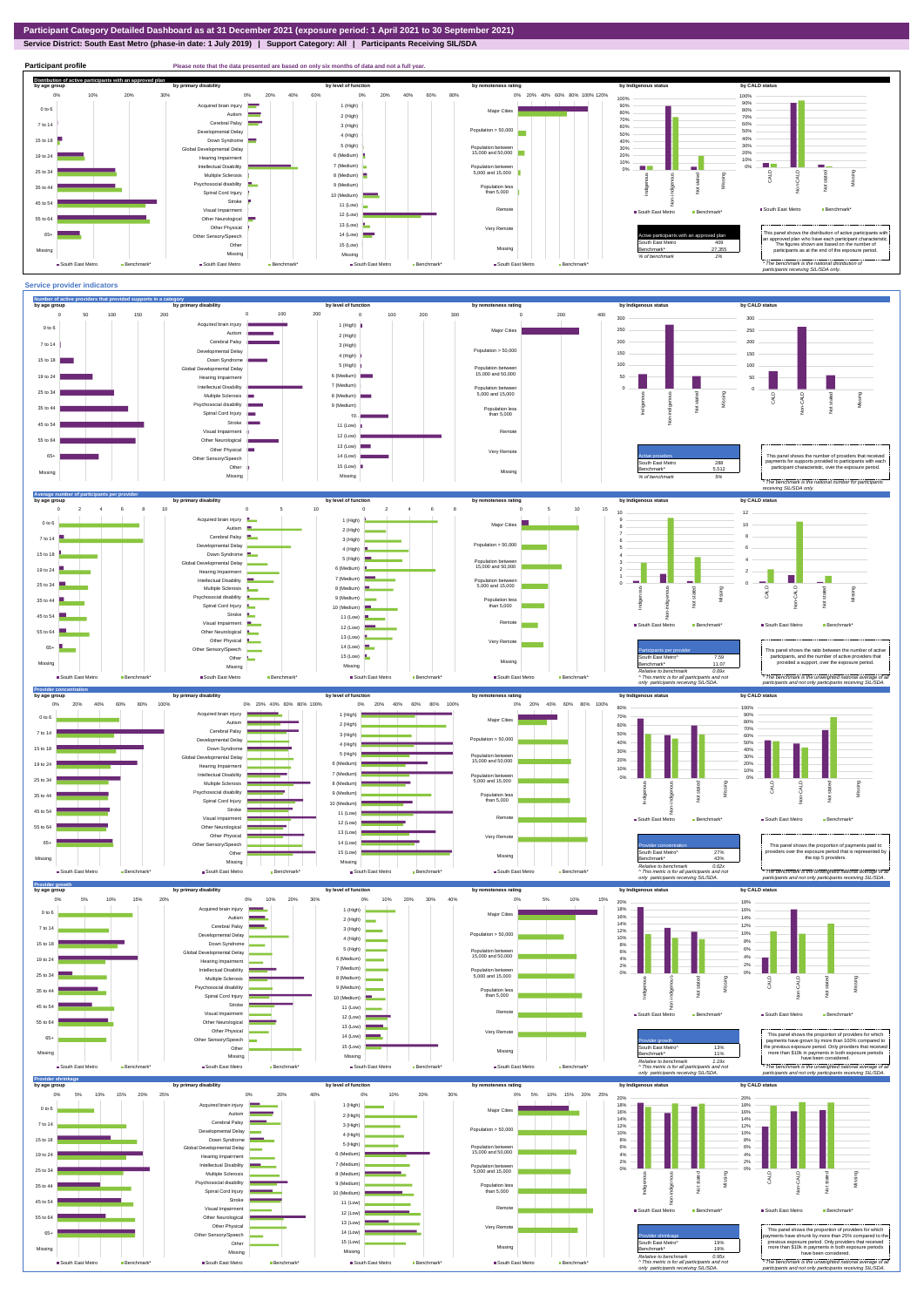# **Service District: South East Metro (phase-in date: 1 July 2019) | Support Category: All | Participants Receiving SIL/SDA**

![](_page_2_Figure_2.jpeg)

![](_page_2_Figure_3.jpeg)

![](_page_2_Figure_4.jpeg)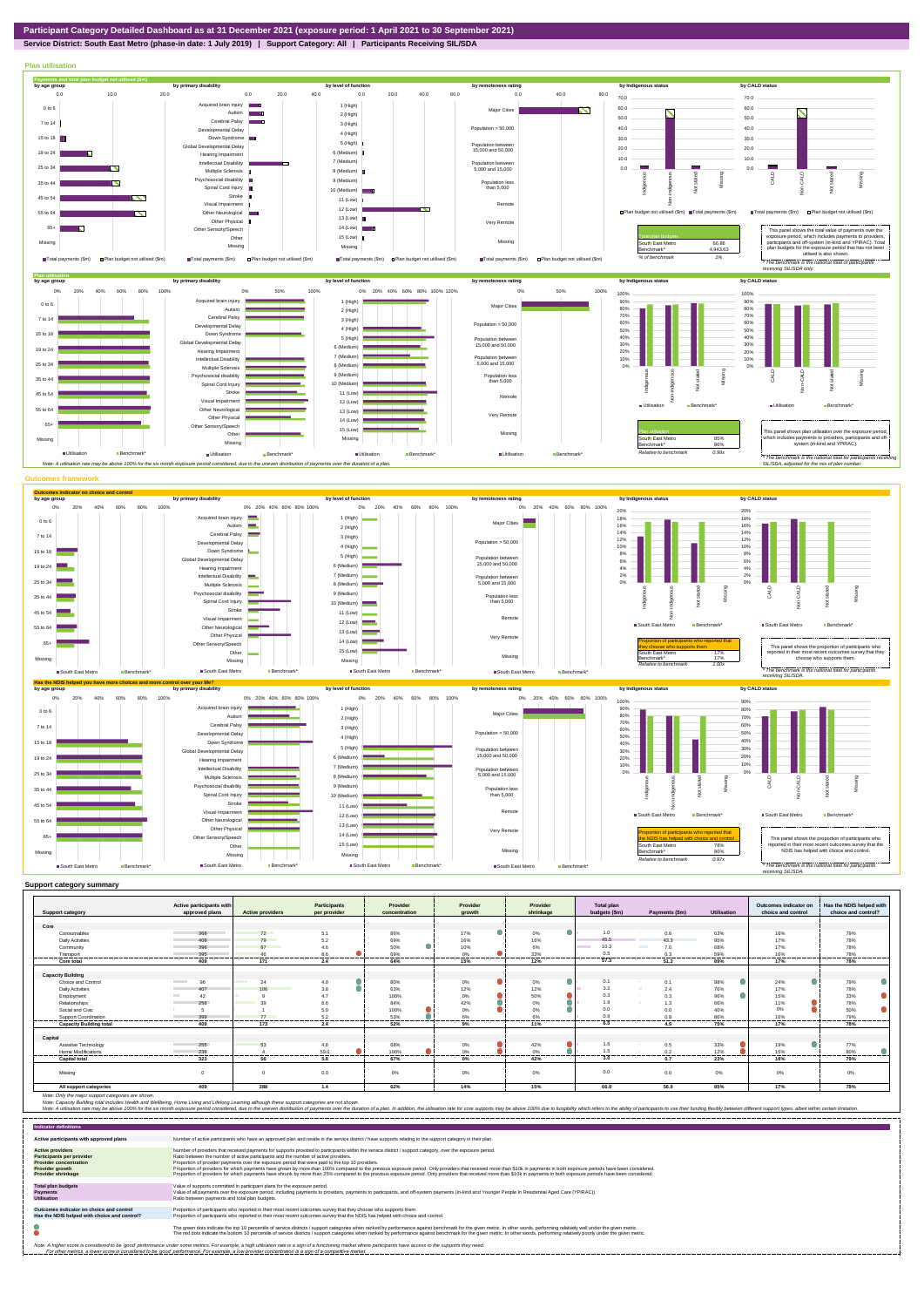![](_page_3_Figure_0.jpeg)

## **Service District: South East Metro (phase-in date: 1 July 2019) | Support Category: All | Participants Receiving SIL/SDA**

![](_page_3_Figure_2.jpeg)

| <b>Support category</b>        | Active participants with<br>approved plans | <b>Active providers</b>      | <b>Participants</b><br>per provider | Provider<br>concentration | Provider<br>arowth      | Provider<br>shrinkage | <b>Total plan</b><br>budgets (\$m) | Payments (\$m)                  | <b>Utilisation</b> | Outcomes indicator on<br>choice and control | Has the NDIS helped with<br>choice and control? |
|--------------------------------|--------------------------------------------|------------------------------|-------------------------------------|---------------------------|-------------------------|-----------------------|------------------------------------|---------------------------------|--------------------|---------------------------------------------|-------------------------------------------------|
|                                |                                            |                              |                                     |                           |                         |                       |                                    |                                 |                    |                                             |                                                 |
| Core                           |                                            |                              |                                     |                           |                         |                       |                                    |                                 |                    |                                             |                                                 |
| Consumables                    | 368                                        | 72                           | 5.1                                 | 86%                       | 17%                     | 0%                    | 1.0                                | 0.6                             | 63%                | 16%                                         | 79%                                             |
| <b>Daily Activities</b>        | 408                                        | 79                           | 5.2                                 | 69%                       | 16%                     | 16%                   | 45.5                               | 43.3                            | 95%                | 17%                                         | 78%                                             |
| Community                      | 396                                        | 87<br><b>Service Service</b> | 4.6                                 | 50%                       | 10%                     | 6%                    | 10.3                               | 7.0<br><b>Contract Contract</b> | 68%                | 17%                                         | 78%                                             |
| Transport                      | 395                                        | 46                           | 8.6                                 | 69%                       | 0%                      | 33%                   | 0.5                                | 0.3                             | 59%                | 16%                                         | 78%                                             |
| Core total                     | 409                                        | 171                          | 2.4                                 | 64%                       | 15%                     | 12%                   | 57.3                               | 51.3                            | 89%                | 17%                                         | 78%                                             |
|                                |                                            |                              |                                     |                           |                         |                       |                                    |                                 |                    |                                             |                                                 |
| <b>Capacity Building</b>       |                                            |                              |                                     |                           |                         |                       |                                    |                                 |                    | o                                           |                                                 |
| Choice and Control             | <b>Contract</b><br>96                      | 24<br><b>The Contract</b>    | 4.0                                 | 80%                       | $0\%$                   | 0%                    | 0.1                                | 0.1                             | 98%                | 24%                                         | 79%                                             |
| <b>Daily Activities</b>        | 407                                        | 106                          | 3.8                                 | 63%                       | 12%                     | 12%                   | 3.2                                | 2.4                             | 76%                | 17%                                         | 78%                                             |
| Employment                     | 42                                         |                              | 47                                  | 100%                      | 0%                      | 50%                   | 0.3                                | 0.3<br><b>ALC</b>               | 96%                | 15%                                         | 33%                                             |
| Relationships                  | 256                                        | 30                           | 6.6                                 | 84%                       | 42%                     | 0%                    | 1.9                                | 1.3                             | 66%                | 11%                                         | 78%                                             |
| Social and Civic               |                                            |                              | 5.0                                 | 100%                      | 0%                      | 0%                    | 0.0                                | 0.0                             | 40%                | 0%                                          | 50%                                             |
| Support Coordination           | 399<br>------                              | 77<br>-----                  | 5.2<br>------                       | 53%<br>.                  | 6%<br><b>CONTRACTOR</b> | 6%<br>.               | 0.5<br>.                           | 0.8                             | 86%<br>-------     | 16%<br>.                                    | 79%<br>------                                   |
| <b>Capacity Building total</b> | 409                                        | 173                          | 2.4                                 | 52%                       | 9%                      | 11%                   | 6.5                                | 4.9                             | 75%                | 17%                                         | 78%                                             |
| Capital                        |                                            |                              |                                     |                           |                         |                       |                                    |                                 |                    |                                             |                                                 |
| Assistive Technology           | 255                                        | 53                           | 4.8                                 | 68%                       | 0%                      | 42%                   | 1.6                                | 0.5                             | 33%                | 19%                                         | 77%                                             |
| Home Modifications             | 236                                        |                              | 59.0                                | 100%                      | 0%                      | 0%                    | 1.5                                | 0.2                             | 12%                | 15%                                         | 80%                                             |
| <b>Capital total</b>           | -------<br>323                             | -------<br>56                | .<br>5.8                            | <br>67%                   | .<br>$0\%$              | .<br>42%              | ------<br>3.0                      | ---------<br>0.7                | ------<br>23%      | .<br>18%                                    | .<br>79%                                        |
| Missing                        |                                            | $\Omega$                     | 0.0                                 | 0%                        | $0\%$                   | 0%                    | 0.0                                | 0.0                             | 0%                 | 0%                                          | 0%                                              |
| All support categories         | 409                                        | 288                          | 1.4                                 | 62%                       | 14%                     | 15%                   | 66.9                               | 56.9                            | 85%                | 17%                                         | 78%                                             |

| <b>Indicator definitions</b>                                                                                                                 |                                                                                                                                                                                                                                                                                                                                                                                                                                                                                                                                                                                                                                                                                                                                                                                                                 |
|----------------------------------------------------------------------------------------------------------------------------------------------|-----------------------------------------------------------------------------------------------------------------------------------------------------------------------------------------------------------------------------------------------------------------------------------------------------------------------------------------------------------------------------------------------------------------------------------------------------------------------------------------------------------------------------------------------------------------------------------------------------------------------------------------------------------------------------------------------------------------------------------------------------------------------------------------------------------------|
| Active participants with approved plans                                                                                                      | Number of active participants who have an approved plan and reside in the service district / have supports relating to the support category in their plan.                                                                                                                                                                                                                                                                                                                                                                                                                                                                                                                                                                                                                                                      |
| <b>Active providers</b><br>Participants per provider<br><b>Provider concentration</b><br><b>Provider growth</b><br><b>Provider shrinkage</b> | Number of providers that received payments for supports provided to participants within the service district / support category, over the exposure period,<br>Ratio between the number of active participants and the number of active providers.<br>Proportion of provider payments over the exposure period that were paid to the top 10 providers.<br>Proportion of providers for which payments have grown by more than 100% compared to the previous exposure period. Only providers that received more than \$10k in payments in both exposure periods have been considered.<br>Proportion of providers for which payments have shrunk by more than 25% compared to the previous exposure period. Only providers that received more than \$10k in payments in both exposure periods have been considered. |
| <b>Total plan budgets</b><br><b>Payments</b><br><b>Utilisation</b>                                                                           | Value of supports committed in participant plans for the exposure period.<br>Value of all payments over the exposure period, including payments to providers, payments to participants, and off-system payments (in-kind and Younger People In Residential Aged Care (YPIRAC)).<br>Ratio between payments and total plan budgets.                                                                                                                                                                                                                                                                                                                                                                                                                                                                               |
| Outcomes indicator on choice and control<br>Has the NDIS helped with choice and control?                                                     | Proportion of participants who reported in their most recent outcomes survey that they choose who supports them.<br>Proportion of participants who reported in their most recent outcomes survey that the NDIS has helped with choice and control.                                                                                                                                                                                                                                                                                                                                                                                                                                                                                                                                                              |
|                                                                                                                                              | The green dots indicate the top 10 percentile of service districts / support categories when ranked by performance against benchmark for the given metric. In other words, performing relatively well under the given metric.<br>The red dots indicate the bottom 10 percentile of service districts / support categories when ranked by performance against benchmark for the given metric. In other words, performing relatively poorly under the given metri                                                                                                                                                                                                                                                                                                                                                 |
|                                                                                                                                              | Note: A higher score is considered to be 'good' performance under some metrics. For example, a high utilisation rate is a sign of a functioning market where participants have access to the supports they need.<br>For other metrics, a lower score is considered to be 'good' performance. For example, a low provider concentration is a sign of a competitive market.                                                                                                                                                                                                                                                                                                                                                                                                                                       |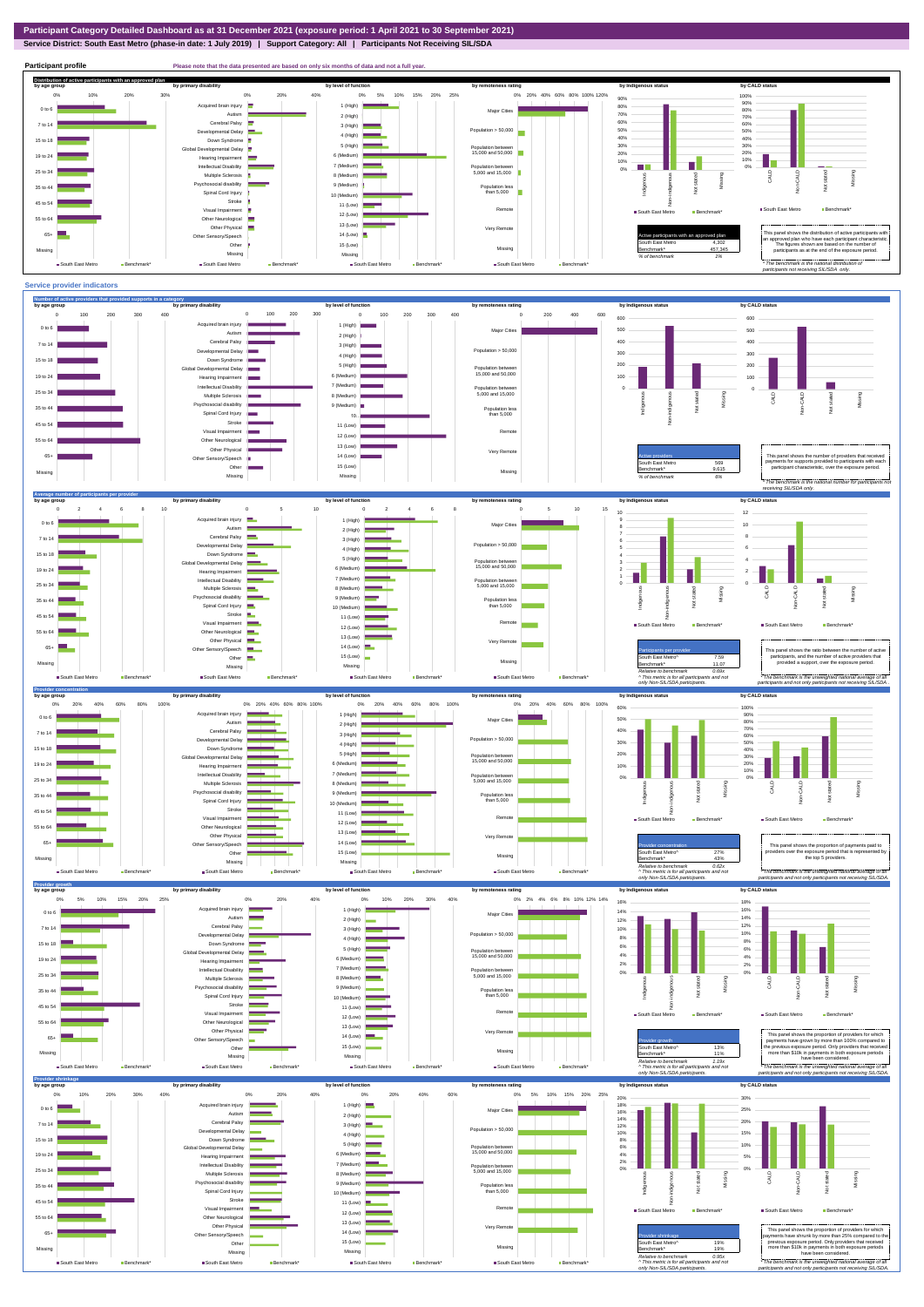## **Service District: South East Metro (phase-in date: 1 July 2019) | Support Category: All | Participants Not Receiving SIL/SDA**

**Participant profile Please note that the data presented are based on only six months of data and not a full year.** 

![](_page_4_Figure_3.jpeg)

![](_page_4_Figure_4.jpeg)